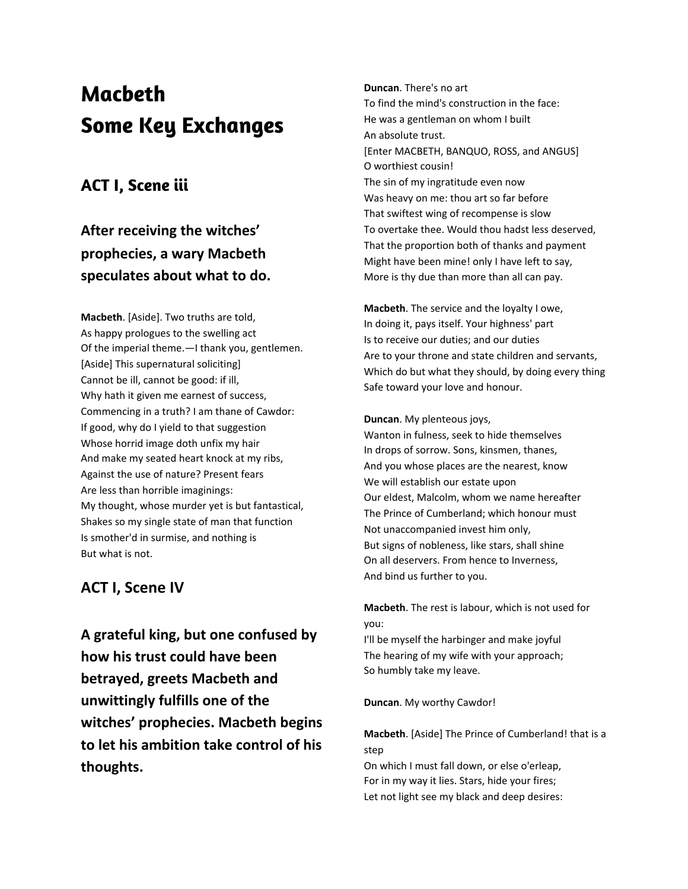# **Macbeth Some Key Exchanges**

## **ACT I, Scene iii**

## **After receiving the witches' prophecies, a wary Macbeth speculates about what to do.**

**Macbeth**. [Aside]. Two truths are told, As happy prologues to the swelling act Of the imperial theme.—I thank you, gentlemen. [Aside] This supernatural soliciting] Cannot be ill, cannot be good: if ill, Why hath it given me earnest of success, Commencing in a truth? I am thane of Cawdor: If good, why do I yield to that suggestion Whose horrid image doth unfix my hair And make my seated heart knock at my ribs, Against the use of nature? Present fears Are less than horrible imaginings: My thought, whose murder yet is but fantastical, Shakes so my single state of man that function Is smother'd in surmise, and nothing is But what is not.

## **ACT I, Scene IV**

**A grateful king, but one confused by how his trust could have been betrayed, greets Macbeth and unwittingly fulfills one of the witches' prophecies. Macbeth begins to let his ambition take control of his thoughts.**

**Duncan**. There's no art To find the mind's construction in the face: He was a gentleman on whom I built An absolute trust. [Enter MACBETH, BANQUO, ROSS, and ANGUS] O worthiest cousin! The sin of my ingratitude even now Was heavy on me: thou art so far before That swiftest wing of recompense is slow To overtake thee. Would thou hadst less deserved, That the proportion both of thanks and payment Might have been mine! only I have left to say, More is thy due than more than all can pay.

**Macbeth**. The service and the loyalty I owe, In doing it, pays itself. Your highness' part Is to receive our duties; and our duties Are to your throne and state children and servants, Which do but what they should, by doing every thing Safe toward your love and honour.

#### **Duncan**. My plenteous joys,

Wanton in fulness, seek to hide themselves In drops of sorrow. Sons, kinsmen, thanes, And you whose places are the nearest, know We will establish our estate upon Our eldest, Malcolm, whom we name hereafter The Prince of Cumberland; which honour must Not unaccompanied invest him only, But signs of nobleness, like stars, shall shine On all deservers. From hence to Inverness, And bind us further to you.

**Macbeth**. The rest is labour, which is not used for you:

I'll be myself the harbinger and make joyful The hearing of my wife with your approach; So humbly take my leave.

#### **Duncan**. My worthy Cawdor!

### **Macbeth**. [Aside] The Prince of Cumberland! that is a step

On which I must fall down, or else o'erleap, For in my way it lies. Stars, hide your fires; Let not light see my black and deep desires: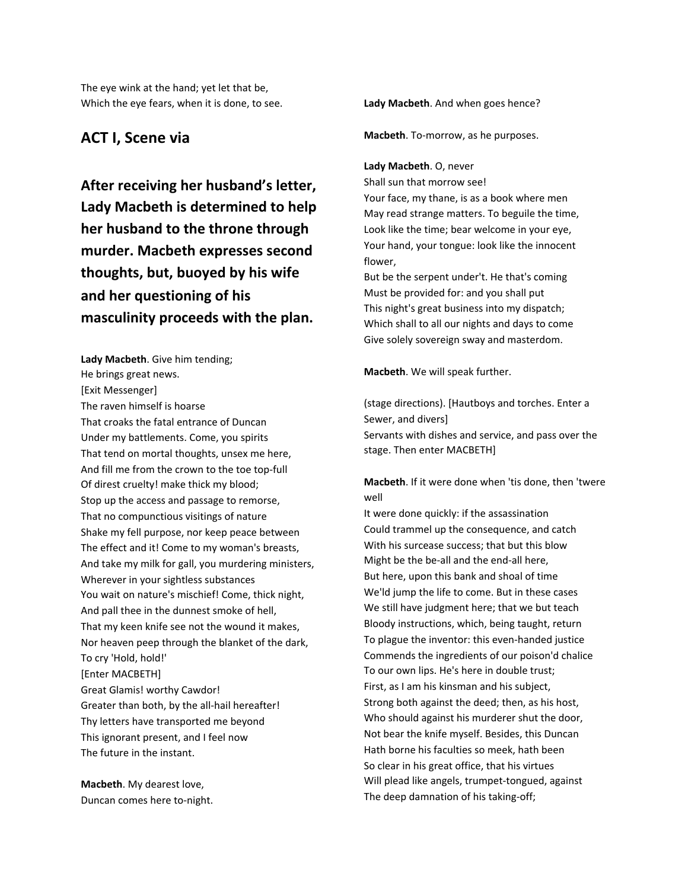The eye wink at the hand; yet let that be, Which the eye fears, when it is done, to see.

### **ACT I, Scene via**

**After receiving her husband's letter, Lady Macbeth is determined to help her husband to the throne through murder. Macbeth expresses second thoughts, but, buoyed by his wife and her questioning of his masculinity proceeds with the plan.**

**Lady Macbeth**. Give him tending; He brings great news. [Exit Messenger] The raven himself is hoarse That croaks the fatal entrance of Duncan Under my battlements. Come, you spirits That tend on mortal thoughts, unsex me here, And fill me from the crown to the toe top-full Of direst cruelty! make thick my blood; Stop up the access and passage to remorse, That no compunctious visitings of nature Shake my fell purpose, nor keep peace between The effect and it! Come to my woman's breasts, And take my milk for gall, you murdering ministers, Wherever in your sightless substances You wait on nature's mischief! Come, thick night, And pall thee in the dunnest smoke of hell, That my keen knife see not the wound it makes, Nor heaven peep through the blanket of the dark, To cry 'Hold, hold!' [Enter MACBETH] Great Glamis! worthy Cawdor! Greater than both, by the all-hail hereafter! Thy letters have transported me beyond This ignorant present, and I feel now The future in the instant.

**Macbeth**. My dearest love, Duncan comes here to-night. **Lady Macbeth**. And when goes hence?

**Macbeth**. To-morrow, as he purposes.

**Lady Macbeth**. O, never

Shall sun that morrow see!

Your face, my thane, is as a book where men May read strange matters. To beguile the time, Look like the time; bear welcome in your eye, Your hand, your tongue: look like the innocent flower,

But be the serpent under't. He that's coming Must be provided for: and you shall put This night's great business into my dispatch; Which shall to all our nights and days to come Give solely sovereign sway and masterdom.

**Macbeth**. We will speak further.

(stage directions). [Hautboys and torches. Enter a Sewer, and divers] Servants with dishes and service, and pass over the stage. Then enter MACBETH]

**Macbeth**. If it were done when 'tis done, then 'twere well

It were done quickly: if the assassination Could trammel up the consequence, and catch With his surcease success; that but this blow Might be the be-all and the end-all here, But here, upon this bank and shoal of time We'ld jump the life to come. But in these cases We still have judgment here; that we but teach Bloody instructions, which, being taught, return To plague the inventor: this even-handed justice Commends the ingredients of our poison'd chalice To our own lips. He's here in double trust; First, as I am his kinsman and his subject, Strong both against the deed; then, as his host, Who should against his murderer shut the door, Not bear the knife myself. Besides, this Duncan Hath borne his faculties so meek, hath been So clear in his great office, that his virtues Will plead like angels, trumpet-tongued, against The deep damnation of his taking-off;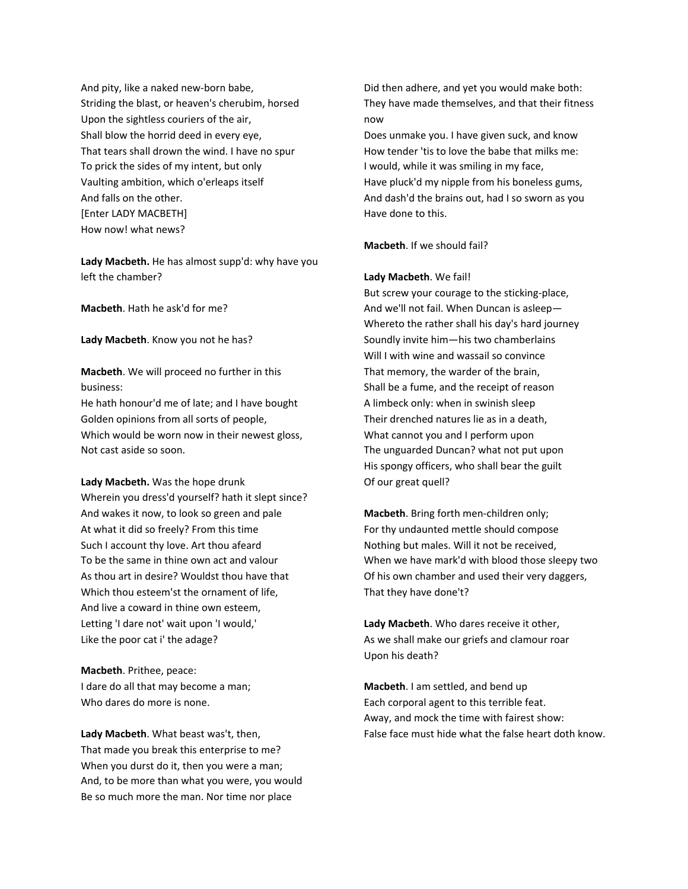And pity, like a naked new-born babe, Striding the blast, or heaven's cherubim, horsed Upon the sightless couriers of the air, Shall blow the horrid deed in every eye, That tears shall drown the wind. I have no spur To prick the sides of my intent, but only Vaulting ambition, which o'erleaps itself And falls on the other. [Enter LADY MACBETH] How now! what news?

**Lady Macbeth.** He has almost supp'd: why have you left the chamber?

**Macbeth**. Hath he ask'd for me?

**Lady Macbeth**. Know you not he has?

**Macbeth**. We will proceed no further in this business:

He hath honour'd me of late; and I have bought Golden opinions from all sorts of people, Which would be worn now in their newest gloss, Not cast aside so soon.

**Lady Macbeth.** Was the hope drunk Wherein you dress'd yourself? hath it slept since? And wakes it now, to look so green and pale At what it did so freely? From this time Such I account thy love. Art thou afeard To be the same in thine own act and valour As thou art in desire? Wouldst thou have that Which thou esteem'st the ornament of life, And live a coward in thine own esteem, Letting 'I dare not' wait upon 'I would,' Like the poor cat i' the adage?

**Macbeth**. Prithee, peace: I dare do all that may become a man; Who dares do more is none.

**Lady Macbeth**. What beast was't, then, That made you break this enterprise to me? When you durst do it, then you were a man; And, to be more than what you were, you would Be so much more the man. Nor time nor place

Did then adhere, and yet you would make both: They have made themselves, and that their fitness now

Does unmake you. I have given suck, and know How tender 'tis to love the babe that milks me: I would, while it was smiling in my face, Have pluck'd my nipple from his boneless gums, And dash'd the brains out, had I so sworn as you Have done to this.

**Macbeth**. If we should fail?

#### **Lady Macbeth**. We fail!

But screw your courage to the sticking-place, And we'll not fail. When Duncan is asleep— Whereto the rather shall his day's hard journey Soundly invite him—his two chamberlains Will I with wine and wassail so convince That memory, the warder of the brain, Shall be a fume, and the receipt of reason A limbeck only: when in swinish sleep Their drenched natures lie as in a death, What cannot you and I perform upon The unguarded Duncan? what not put upon His spongy officers, who shall bear the guilt Of our great quell?

**Macbeth**. Bring forth men-children only; For thy undaunted mettle should compose Nothing but males. Will it not be received, When we have mark'd with blood those sleepy two Of his own chamber and used their very daggers, That they have done't?

**Lady Macbeth**. Who dares receive it other, As we shall make our griefs and clamour roar Upon his death?

**Macbeth**. I am settled, and bend up Each corporal agent to this terrible feat. Away, and mock the time with fairest show: False face must hide what the false heart doth know.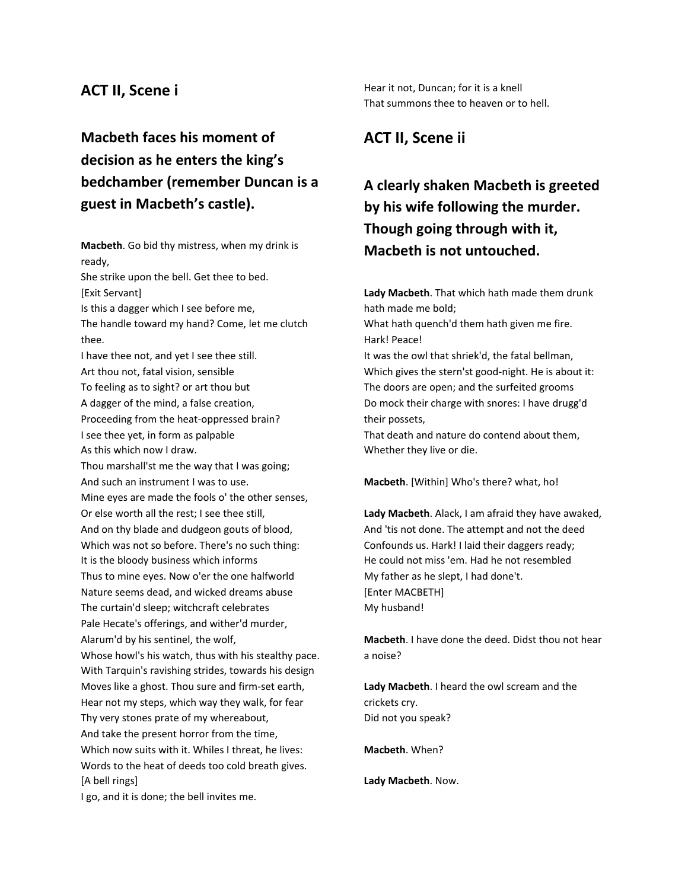### **ACT II, Scene i**

## **Macbeth faces his moment of decision as he enters the king's bedchamber (remember Duncan is a guest in Macbeth's castle).**

**Macbeth**. Go bid thy mistress, when my drink is ready, She strike upon the bell. Get thee to bed. [Exit Servant] Is this a dagger which I see before me, The handle toward my hand? Come, let me clutch thee. I have thee not, and yet I see thee still. Art thou not, fatal vision, sensible To feeling as to sight? or art thou but A dagger of the mind, a false creation, Proceeding from the heat-oppressed brain? I see thee yet, in form as palpable As this which now I draw. Thou marshall'st me the way that I was going; And such an instrument I was to use. Mine eyes are made the fools o' the other senses, Or else worth all the rest; I see thee still, And on thy blade and dudgeon gouts of blood, Which was not so before. There's no such thing: It is the bloody business which informs Thus to mine eyes. Now o'er the one halfworld Nature seems dead, and wicked dreams abuse The curtain'd sleep; witchcraft celebrates Pale Hecate's offerings, and wither'd murder, Alarum'd by his sentinel, the wolf, Whose howl's his watch, thus with his stealthy pace. With Tarquin's ravishing strides, towards his design Moves like a ghost. Thou sure and firm-set earth, Hear not my steps, which way they walk, for fear Thy very stones prate of my whereabout, And take the present horror from the time, Which now suits with it. Whiles I threat, he lives: Words to the heat of deeds too cold breath gives. [A bell rings]

Hear it not, Duncan; for it is a knell That summons thee to heaven or to hell.

### **ACT II, Scene ii**

## **A clearly shaken Macbeth is greeted by his wife following the murder. Though going through with it, Macbeth is not untouched.**

**Lady Macbeth**. That which hath made them drunk hath made me bold; What hath quench'd them hath given me fire. Hark! Peace! It was the owl that shriek'd, the fatal bellman, Which gives the stern'st good-night. He is about it: The doors are open; and the surfeited grooms Do mock their charge with snores: I have drugg'd their possets, That death and nature do contend about them, Whether they live or die.

**Macbeth**. [Within] Who's there? what, ho!

**Lady Macbeth**. Alack, I am afraid they have awaked, And 'tis not done. The attempt and not the deed Confounds us. Hark! I laid their daggers ready; He could not miss 'em. Had he not resembled My father as he slept, I had done't. [Enter MACBETH] My husband!

**Macbeth**. I have done the deed. Didst thou not hear a noise?

**Lady Macbeth**. I heard the owl scream and the crickets cry. Did not you speak?

**Macbeth**. When?

**Lady Macbeth**. Now.

I go, and it is done; the bell invites me.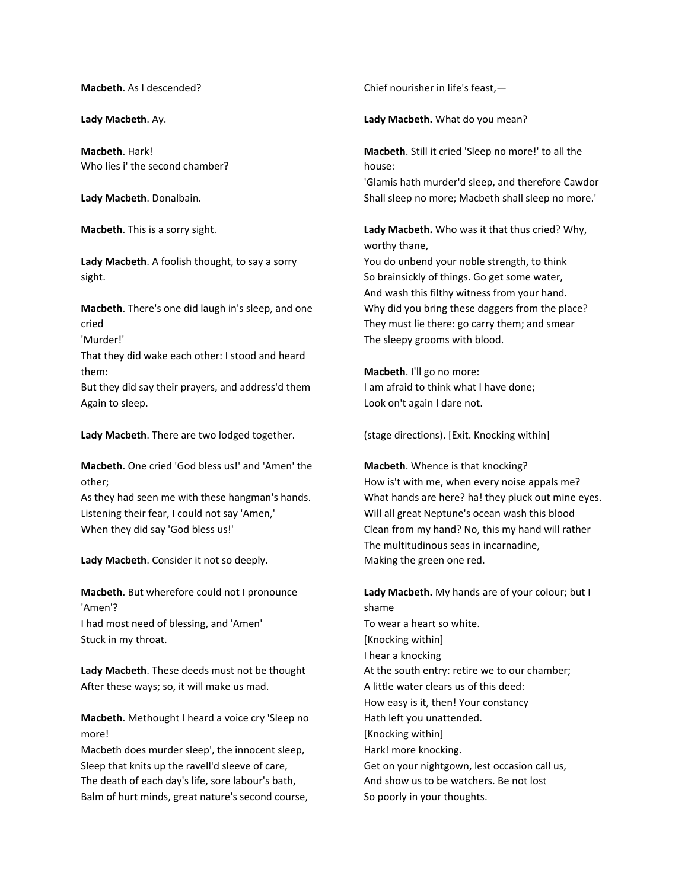**Macbeth**. As I descended?

**Lady Macbeth**. Ay.

**Macbeth**. Hark! Who lies i' the second chamber?

**Lady Macbeth**. Donalbain.

**Macbeth**. This is a sorry sight.

**Lady Macbeth**. A foolish thought, to say a sorry sight.

**Macbeth**. There's one did laugh in's sleep, and one cried

'Murder!'

That they did wake each other: I stood and heard them:

But they did say their prayers, and address'd them Again to sleep.

**Lady Macbeth**. There are two lodged together.

**Macbeth**. One cried 'God bless us!' and 'Amen' the other;

As they had seen me with these hangman's hands. Listening their fear, I could not say 'Amen,' When they did say 'God bless us!'

**Lady Macbeth**. Consider it not so deeply.

**Macbeth**. But wherefore could not I pronounce 'Amen'? I had most need of blessing, and 'Amen' Stuck in my throat.

**Lady Macbeth**. These deeds must not be thought After these ways; so, it will make us mad.

**Macbeth**. Methought I heard a voice cry 'Sleep no more!

Macbeth does murder sleep', the innocent sleep, Sleep that knits up the ravell'd sleeve of care, The death of each day's life, sore labour's bath, Balm of hurt minds, great nature's second course, Chief nourisher in life's feast,—

**Lady Macbeth.** What do you mean?

**Macbeth**. Still it cried 'Sleep no more!' to all the house:

'Glamis hath murder'd sleep, and therefore Cawdor Shall sleep no more; Macbeth shall sleep no more.'

**Lady Macbeth.** Who was it that thus cried? Why, worthy thane,

You do unbend your noble strength, to think So brainsickly of things. Go get some water, And wash this filthy witness from your hand. Why did you bring these daggers from the place? They must lie there: go carry them; and smear The sleepy grooms with blood.

**Macbeth**. I'll go no more: I am afraid to think what I have done; Look on't again I dare not.

(stage directions). [Exit. Knocking within]

**Macbeth**. Whence is that knocking? How is't with me, when every noise appals me? What hands are here? ha! they pluck out mine eyes. Will all great Neptune's ocean wash this blood Clean from my hand? No, this my hand will rather The multitudinous seas in incarnadine, Making the green one red.

**Lady Macbeth.** My hands are of your colour; but I shame To wear a heart so white. [Knocking within] I hear a knocking At the south entry: retire we to our chamber; A little water clears us of this deed: How easy is it, then! Your constancy Hath left you unattended. [Knocking within] Hark! more knocking. Get on your nightgown, lest occasion call us, And show us to be watchers. Be not lost So poorly in your thoughts.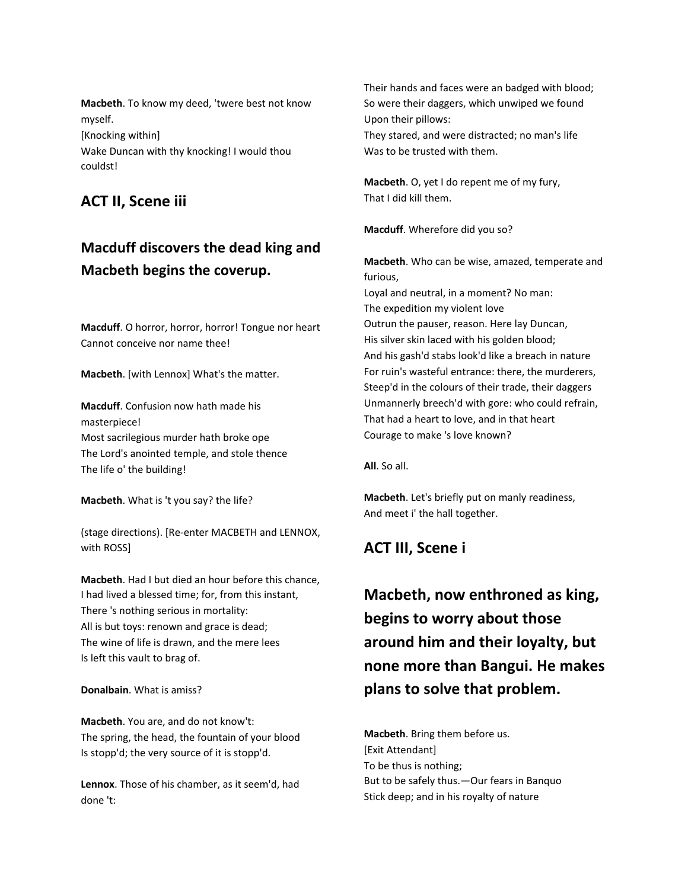**Macbeth**. To know my deed, 'twere best not know myself. [Knocking within] Wake Duncan with thy knocking! I would thou couldst!

### **ACT II, Scene iii**

## **Macduff discovers the dead king and Macbeth begins the coverup.**

**Macduff**. O horror, horror, horror! Tongue nor heart Cannot conceive nor name thee!

**Macbeth**. [with Lennox] What's the matter.

**Macduff**. Confusion now hath made his masterpiece! Most sacrilegious murder hath broke ope The Lord's anointed temple, and stole thence The life o' the building!

**Macbeth**. What is 't you say? the life?

(stage directions). [Re-enter MACBETH and LENNOX, with ROSS]

**Macbeth**. Had I but died an hour before this chance, I had lived a blessed time; for, from this instant, There 's nothing serious in mortality: All is but toys: renown and grace is dead; The wine of life is drawn, and the mere lees Is left this vault to brag of.

#### **Donalbain**. What is amiss?

**Macbeth**. You are, and do not know't: The spring, the head, the fountain of your blood Is stopp'd; the very source of it is stopp'd.

**Lennox**. Those of his chamber, as it seem'd, had done 't:

Their hands and faces were an badged with blood; So were their daggers, which unwiped we found Upon their pillows: They stared, and were distracted; no man's life

**Macbeth**. O, yet I do repent me of my fury,

That I did kill them.

**Macduff**. Wherefore did you so?

Courage to make 's love known?

Was to be trusted with them.

**Macbeth**. Who can be wise, amazed, temperate and furious, Loyal and neutral, in a moment? No man: The expedition my violent love Outrun the pauser, reason. Here lay Duncan, His silver skin laced with his golden blood; And his gash'd stabs look'd like a breach in nature For ruin's wasteful entrance: there, the murderers, Steep'd in the colours of their trade, their daggers Unmannerly breech'd with gore: who could refrain, That had a heart to love, and in that heart

**All**. So all.

**Macbeth**. Let's briefly put on manly readiness, And meet i' the hall together.

## **ACT III, Scene i**

**Macbeth, now enthroned as king, begins to worry about those around him and their loyalty, but none more than Bangui. He makes plans to solve that problem.**

**Macbeth**. Bring them before us. [Exit Attendant] To be thus is nothing; But to be safely thus.—Our fears in Banquo Stick deep; and in his royalty of nature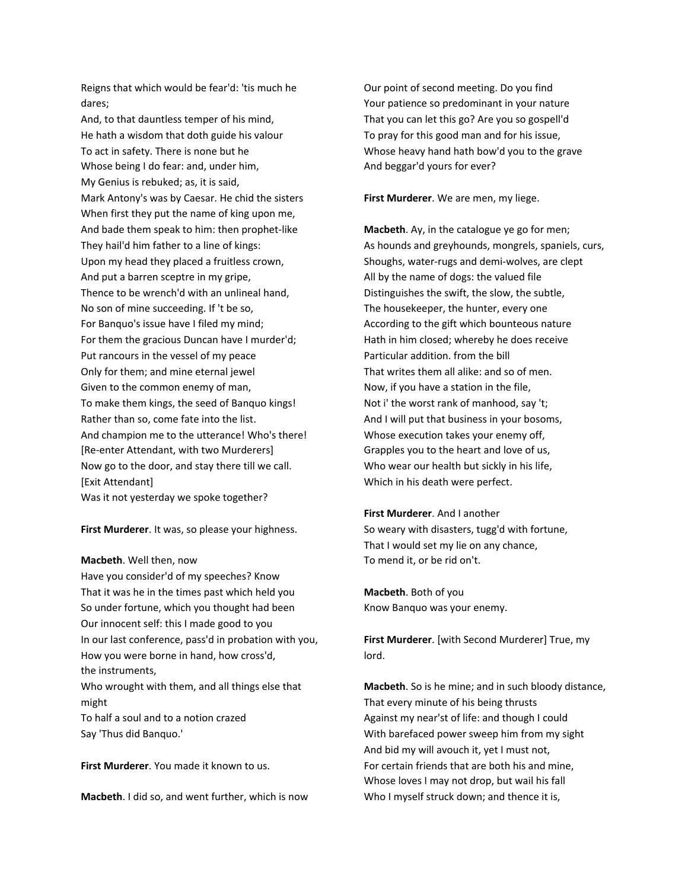Reigns that which would be fear'd: 'tis much he dares;

And, to that dauntless temper of his mind, He hath a wisdom that doth guide his valour To act in safety. There is none but he Whose being I do fear: and, under him, My Genius is rebuked; as, it is said, Mark Antony's was by Caesar. He chid the sisters When first they put the name of king upon me, And bade them speak to him: then prophet-like They hail'd him father to a line of kings: Upon my head they placed a fruitless crown, And put a barren sceptre in my gripe, Thence to be wrench'd with an unlineal hand, No son of mine succeeding. If 't be so, For Banquo's issue have I filed my mind; For them the gracious Duncan have I murder'd; Put rancours in the vessel of my peace Only for them; and mine eternal jewel Given to the common enemy of man, To make them kings, the seed of Banquo kings! Rather than so, come fate into the list. And champion me to the utterance! Who's there! [Re-enter Attendant, with two Murderers] Now go to the door, and stay there till we call. [Exit Attendant] Was it not yesterday we spoke together?

**First Murderer**. It was, so please your highness.

#### **Macbeth**. Well then, now

Have you consider'd of my speeches? Know That it was he in the times past which held you So under fortune, which you thought had been Our innocent self: this I made good to you In our last conference, pass'd in probation with you, How you were borne in hand, how cross'd, the instruments, Who wrought with them, and all things else that might

To half a soul and to a notion crazed Say 'Thus did Banquo.'

**First Murderer**. You made it known to us.

**Macbeth**. I did so, and went further, which is now

Our point of second meeting. Do you find Your patience so predominant in your nature That you can let this go? Are you so gospell'd To pray for this good man and for his issue, Whose heavy hand hath bow'd you to the grave And beggar'd yours for ever?

**First Murderer**. We are men, my liege.

**Macbeth**. Ay, in the catalogue ye go for men; As hounds and greyhounds, mongrels, spaniels, curs, Shoughs, water-rugs and demi-wolves, are clept All by the name of dogs: the valued file Distinguishes the swift, the slow, the subtle, The housekeeper, the hunter, every one According to the gift which bounteous nature Hath in him closed; whereby he does receive Particular addition. from the bill That writes them all alike: and so of men. Now, if you have a station in the file, Not i' the worst rank of manhood, say 't; And I will put that business in your bosoms, Whose execution takes your enemy off, Grapples you to the heart and love of us, Who wear our health but sickly in his life, Which in his death were perfect.

#### **First Murderer**. And I another

So weary with disasters, tugg'd with fortune, That I would set my lie on any chance, To mend it, or be rid on't.

**Macbeth**. Both of you Know Banquo was your enemy.

**First Murderer**. [with Second Murderer] True, my lord.

**Macbeth**. So is he mine; and in such bloody distance, That every minute of his being thrusts Against my near'st of life: and though I could With barefaced power sweep him from my sight And bid my will avouch it, yet I must not, For certain friends that are both his and mine, Whose loves I may not drop, but wail his fall Who I myself struck down; and thence it is,